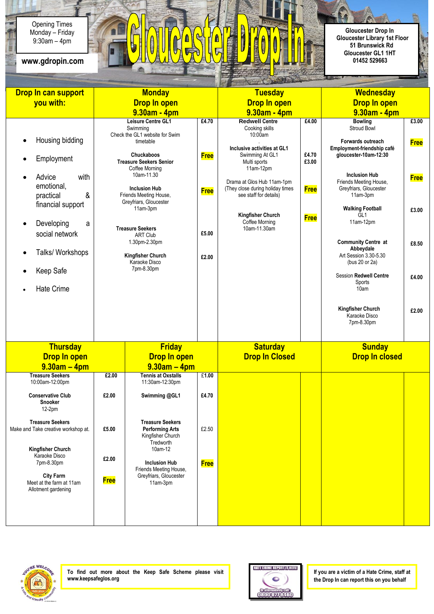9:30am – 4pm Opening Times Monday – Friday



Ŕ

È.

| <b>Monday</b><br>Drop In can support         |                                    |                                                  |             | <b>Tuesday</b>                             |                | <b>Wednesday</b>                           |             |
|----------------------------------------------|------------------------------------|--------------------------------------------------|-------------|--------------------------------------------|----------------|--------------------------------------------|-------------|
| you with:                                    | <b>Drop In open</b>                |                                                  |             | <b>Drop In open</b>                        |                | <b>Drop In open</b>                        |             |
|                                              | 9.30am - 4pm                       |                                                  |             | $9.30am - 4pm$                             |                | $9.30am - 4pm$                             |             |
|                                              |                                    | Leisure Centre GL1                               | £4.70       | <b>Redwell Centre</b>                      | £4.00          | <b>Bowling</b>                             | £3.00       |
|                                              |                                    | Swimming                                         |             | Cooking skills                             |                | Stroud Bowl                                |             |
| Housing bidding                              |                                    | Check the GL1 website for Swim<br>timetable      |             | 10:00am                                    |                | Forwards outreach                          | <b>Free</b> |
|                                              |                                    |                                                  |             | Inclusive activities at GL1                |                | Employment-friendship café                 |             |
| Employment                                   |                                    | Chuckaboos<br><b>Treasure Seekers Senior</b>     | <b>Free</b> | Swimming At GL1<br>Multi sports            | £4.70<br>£3.00 | gloucester-10am-12:30                      |             |
|                                              |                                    | Coffee Morning                                   |             | $11am-12pm$                                |                | <b>Inclusion Hub</b>                       |             |
| Advice<br>with                               |                                    | 10am-11.30                                       |             | Drama at Glos Hub 11am-1pm                 |                | Friends Meeting House,                     | <b>Free</b> |
| emotional,<br>&                              |                                    | <b>Inclusion Hub</b>                             | <b>Free</b> | (They close during holiday times           | <b>Free</b>    | Greyfriars, Gloucester                     |             |
| practical<br>financial support               |                                    | Friends Meeting House,<br>Greyfriars, Gloucester |             | see staff for details)                     |                | 11am-3pm                                   |             |
|                                              |                                    | 11am-3pm                                         |             |                                            |                | <b>Walking Football</b><br>GL <sub>1</sub> | £3.00       |
| Developing<br>a<br>$\bullet$                 |                                    |                                                  |             | <b>Kingfisher Church</b><br>Coffee Morning | <b>Free</b>    | 11am-12pm                                  |             |
| social network                               |                                    | <b>Treasure Seekers</b><br><b>ART Club</b>       | £5.00       | 10am-11.30am                               |                |                                            |             |
|                                              |                                    | 1.30pm-2.30pm                                    |             |                                            |                | <b>Community Centre at</b>                 | £8.50       |
| Talks/ Workshops                             |                                    |                                                  |             |                                            |                | Abbeydale<br>Art Session 3.30-5.30         |             |
|                                              | Kingfisher Church<br>Karaoke Disco |                                                  | £2.00       |                                            |                | (bus 20 or 2a)                             |             |
| Keep Safe                                    | 7pm-8.30pm                         |                                                  |             |                                            |                | <b>Session Redwell Centre</b>              |             |
|                                              |                                    |                                                  |             |                                            |                | Sports                                     | £4.00       |
| <b>Hate Crime</b>                            |                                    |                                                  |             |                                            |                | 10am                                       |             |
|                                              |                                    |                                                  |             |                                            |                |                                            |             |
|                                              |                                    |                                                  |             |                                            |                | <b>Kingfisher Church</b><br>Karaoke Disco  | £2.00       |
|                                              |                                    |                                                  |             |                                            |                | 7pm-8.30pm                                 |             |
|                                              |                                    |                                                  |             |                                            |                |                                            |             |
| <b>Thursday</b>                              |                                    | <b>Friday</b>                                    |             | <b>Saturday</b>                            |                | <b>Sunday</b>                              |             |
| <b>Drop In open</b>                          |                                    | <b>Drop In open</b>                              |             | <b>Drop In Closed</b>                      |                | <b>Drop In closed</b>                      |             |
| $9.30am - 4pm$                               |                                    | $9.30am - 4pm$                                   |             |                                            |                |                                            |             |
| <b>Treasure Seekers</b>                      | £2.00                              | <b>Tennis at Oxstalls</b>                        | £1.00       |                                            |                |                                            |             |
| 10:00am-12:00pm                              |                                    | 11:30am-12:30pm                                  |             |                                            |                |                                            |             |
| <b>Conservative Club</b><br>Snooker          | £2.00                              | Swimming @GL1                                    | £4.70       |                                            |                |                                            |             |
| 12-2pm                                       |                                    |                                                  |             |                                            |                |                                            |             |
| <b>Treasure Seekers</b>                      |                                    | <b>Treasure Seekers</b>                          |             |                                            |                |                                            |             |
| Make and Take creative workshop at.          | £5.00                              | <b>Performing Arts</b>                           | £2.50       |                                            |                |                                            |             |
|                                              |                                    | Kingfisher Church<br>Tredworth                   |             |                                            |                |                                            |             |
| Kingfisher Church                            |                                    | 10am-12                                          |             |                                            |                |                                            |             |
| Karaoke Disco<br>7pm-8.30pm                  | £2.00                              | <b>Inclusion Hub</b>                             | <b>Free</b> |                                            |                |                                            |             |
|                                              |                                    | Friends Meeting House,                           |             |                                            |                |                                            |             |
| <b>City Farm</b><br>Meet at the farm at 11am | <b>Free</b>                        | Greyfriars, Gloucester<br>11am-3pm               |             |                                            |                |                                            |             |
| Allotment gardening                          |                                    |                                                  |             |                                            |                |                                            |             |
|                                              |                                    |                                                  |             |                                            |                |                                            |             |
|                                              |                                    |                                                  |             |                                            |                |                                            |             |
|                                              |                                    |                                                  |             |                                            |                |                                            |             |

Ê



**To find out more about the Keep Safe Scheme please visit www.keepsafeglos.org**



**If you are a victim of a Hate Crime, staff at the Drop In can report this on you behalf**